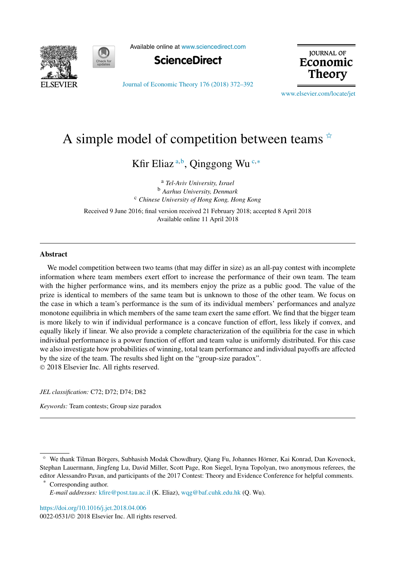



Available online at [www.sciencedirect.com](http://www.sciencedirect.com)



[Journal of Economic Theory 176 \(2018\) 372–392](https://doi.org/10.1016/j.jet.2018.04.006)

**JOURNAL OF** Economic **Theory** 

[www.elsevier.com/locate/jet](http://www.elsevier.com/locate/jet)

# A simple model of competition between teams  $\dot{\mathbf{x}}$

Kfir Eliaz <sup>a</sup>*,*<sup>b</sup> , Qinggong Wu <sup>c</sup>*,*<sup>∗</sup>

<sup>a</sup> *Tel-Aviv University, Israel* <sup>b</sup> *Aarhus University, Denmark* <sup>c</sup> *Chinese University of Hong Kong, Hong Kong* Received 9 June 2016; final version received 21 February 2018; accepted 8 April 2018

Available online 11 April 2018

#### **Abstract**

We model competition between two teams (that may differ in size) as an all-pay contest with incomplete information where team members exert effort to increase the performance of their own team. The team with the higher performance wins, and its members enjoy the prize as a public good. The value of the prize is identical to members of the same team but is unknown to those of the other team. We focus on the case in which a team's performance is the sum of its individual members' performances and analyze monotone equilibria in which members of the same team exert the same effort. We find that the bigger team is more likely to win if individual performance is a concave function of effort, less likely if convex, and equally likely if linear. We also provide a complete characterization of the equilibria for the case in which individual performance is a power function of effort and team value is uniformly distributed. For this case we also investigate how probabilities of winning, total team performance and individual payoffs are affected by the size of the team. The results shed light on the "group-size paradox". © 2018 Elsevier Inc. All rights reserved.

*JEL classification:* C72; D72; D74; D82

*Keywords:* Team contests; Group size paradox

Corresponding author.

<sup>✩</sup> We thank Tilman Börgers, Subhasish Modak Chowdhury, Qiang Fu, Johannes Hörner, Kai Konrad, Dan Kovenock, Stephan Lauermann, Jingfeng Lu, David Miller, Scott Page, Ron Siegel, Iryna Topolyan, two anonymous referees, the editor Alessandro Pavan, and participants of the 2017 Contest: Theory and Evidence Conference for helpful comments.

*E-mail addresses:* [kfire@post.tau.ac.il](mailto:kfire@post.tau.ac.il) (K. Eliaz), [wqg@baf.cuhk.edu.hk](mailto:wqg@baf.cuhk.edu.hk) (Q. Wu).

<https://doi.org/10.1016/j.jet.2018.04.006> 0022-0531/© 2018 Elsevier Inc. All rights reserved.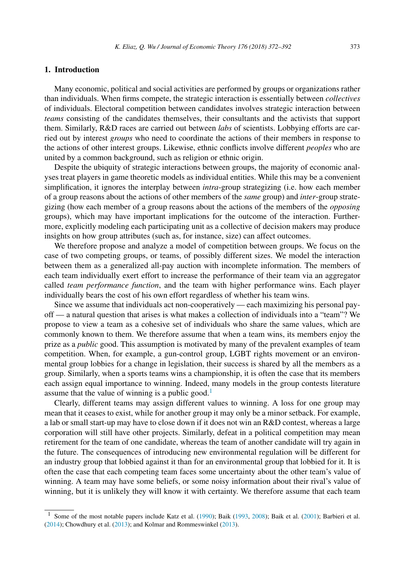# **1. Introduction**

Many economic, political and social activities are performed by groups or organizations rather than individuals. When firms compete, the strategic interaction is essentially between *collectives* of individuals. Electoral competition between candidates involves strategic interaction between *teams* consisting of the candidates themselves, their consultants and the activists that support them. Similarly, R&D races are carried out between *labs* of scientists. Lobbying efforts are carried out by interest *groups* who need to coordinate the actions of their members in response to the actions of other interest groups. Likewise, ethnic conflicts involve different *peoples* who are united by a common background, such as religion or ethnic origin.

Despite the ubiquity of strategic interactions between groups, the majority of economic analyses treat players in game theoretic models as individual entities. While this may be a convenient simplification, it ignores the interplay between *intra*-group strategizing (i.e. how each member of a group reasons about the actions of other members of the *same* group) and *inter*-group strategizing (how each member of a group reasons about the actions of the members of the *opposing* groups), which may have important implications for the outcome of the interaction. Furthermore, explicitly modeling each participating unit as a collective of decision makers may produce insights on how group attributes (such as, for instance, size) can affect outcomes.

We therefore propose and analyze a model of competition between groups. We focus on the case of two competing groups, or teams, of possibly different sizes. We model the interaction between them as a generalized all-pay auction with incomplete information. The members of each team individually exert effort to increase the performance of their team via an aggregator called *team performance function*, and the team with higher performance wins. Each player individually bears the cost of his own effort regardless of whether his team wins.

Since we assume that individuals act non-cooperatively — each maximizing his personal payoff — a natural question that arises is what makes a collection of individuals into a "team"? We propose to view a team as a cohesive set of individuals who share the same values, which are commonly known to them. We therefore assume that when a team wins, its members enjoy the prize as a *public* good. This assumption is motivated by many of the prevalent examples of team competition. When, for example, a gun-control group, LGBT rights movement or an environmental group lobbies for a change in legislation, their success is shared by all the members as a group. Similarly, when a sports teams wins a championship, it is often the case that its members each assign equal importance to winning. Indeed, many models in the group contests literature assume that the value of winning is a public good.<sup>1</sup>

Clearly, different teams may assign different values to winning. A loss for one group may mean that it ceases to exist, while for another group it may only be a minor setback. For example, a lab or small start-up may have to close down if it does not win an R&D contest, whereas a large corporation will still have other projects. Similarly, defeat in a political competition may mean retirement for the team of one candidate, whereas the team of another candidate will try again in the future. The consequences of introducing new environmental regulation will be different for an industry group that lobbied against it than for an environmental group that lobbied for it. It is often the case that each competing team faces some uncertainty about the other team's value of winning. A team may have some beliefs, or some noisy information about their rival's value of winning, but it is unlikely they will know it with certainty. We therefore assume that each team

<sup>&</sup>lt;sup>1</sup> Some of the most notable papers include Katz et al. [\(1990\)](#page-20-0); Baik [\(1993,](#page-19-0) [2008\)](#page-19-0); Baik et al. [\(2001\)](#page-19-0); Barbieri et al. [\(2014\)](#page-19-0); Chowdhury et al. [\(2013\)](#page-19-0); and Kolmar and Rommeswinkel [\(2013\)](#page-20-0).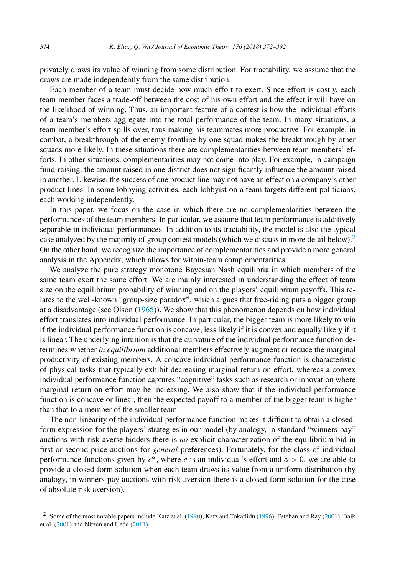privately draws its value of winning from some distribution. For tractability, we assume that the draws are made independently from the same distribution.

Each member of a team must decide how much effort to exert. Since effort is costly, each team member faces a trade-off between the cost of his own effort and the effect it will have on the likelihood of winning. Thus, an important feature of a contest is how the individual efforts of a team's members aggregate into the total performance of the team. In many situations, a team member's effort spills over, thus making his teammates more productive. For example, in combat, a breakthrough of the enemy frontline by one squad makes the breakthrough by other squads more likely. In these situations there are complementarities between team members' efforts. In other situations, complementarities may not come into play. For example, in campaign fund-raising, the amount raised in one district does not significantly influence the amount raised in another. Likewise, the success of one product line may not have an effect on a company's other product lines. In some lobbying activities, each lobbyist on a team targets different politicians, each working independently.

In this paper, we focus on the case in which there are no complementarities between the performances of the team members. In particular, we assume that team performance is additively separable in individual performances. In addition to its tractability, the model is also the typical case analyzed by the majority of group contest models (which we discuss in more detail below).<sup>2</sup> On the other hand, we recognize the importance of complementarities and provide a more general analysis in the Appendix, which allows for within-team complementarities.

We analyze the pure strategy monotone Bayesian Nash equilibria in which members of the same team exert the same effort. We are mainly interested in understanding the effect of team size on the equilibrium probability of winning and on the players' equilibrium payoffs. This relates to the well-known "group-size paradox", which argues that free-riding puts a bigger group at a disadvantage (see Olson [\(1965\)](#page-20-0)). We show that this phenomenon depends on how individual effort translates into individual performance. In particular, the bigger team is more likely to win if the individual performance function is concave, less likely if it is convex and equally likely if it is linear. The underlying intuition is that the curvature of the individual performance function determines whether *in equilibrium* additional members effectively augment or reduce the marginal productivity of existing members. A concave individual performance function is characteristic of physical tasks that typically exhibit decreasing marginal return on effort, whereas a convex individual performance function captures "cognitive" tasks such as research or innovation where marginal return on effort may be increasing. We also show that if the individual performance function is concave or linear, then the expected payoff to a member of the bigger team is higher than that to a member of the smaller team.

The non-linearity of the individual performance function makes it difficult to obtain a closedform expression for the players' strategies in our model (by analogy, in standard "winners-pay" auctions with risk-averse bidders there is *no* explicit characterization of the equilibrium bid in first or second-price auctions for *general* preferences). Fortunately, for the class of individual performance functions given by  $e^{\alpha}$ , where *e* is an individual's effort and  $\alpha > 0$ , we are able to provide a closed-form solution when each team draws its value from a uniform distribution (by analogy, in winners-pay auctions with risk aversion there is a closed-form solution for the case of absolute risk aversion).

<sup>&</sup>lt;sup>2</sup> Some of the most notable papers include Katz et al. [\(1990\)](#page-20-0), Katz and Tokatlidu [\(1996\)](#page-20-0), Esteban and Ray [\(2001\)](#page-19-0), Baik et al. [\(2001\)](#page-19-0) and Nitzan and Ueda [\(2011\)](#page-20-0).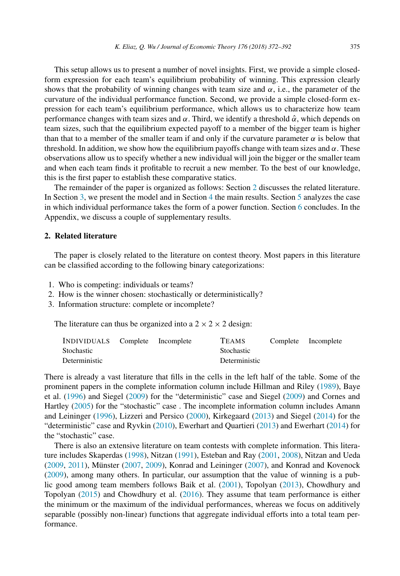This setup allows us to present a number of novel insights. First, we provide a simple closedform expression for each team's equilibrium probability of winning. This expression clearly shows that the probability of winning changes with team size and  $\alpha$ , i.e., the parameter of the curvature of the individual performance function. Second, we provide a simple closed-form expression for each team's equilibrium performance, which allows us to characterize how team performance changes with team sizes and *α*. Third, we identify a threshold *α*ˆ, which depends on team sizes, such that the equilibrium expected payoff to a member of the bigger team is higher than that to a member of the smaller team if and only if the curvature parameter  $\alpha$  is below that threshold. In addition, we show how the equilibrium payoffs change with team sizes and  $\alpha$ . These observations allow us to specify whether a new individual will join the bigger or the smaller team and when each team finds it profitable to recruit a new member. To the best of our knowledge,

The remainder of the paper is organized as follows: Section 2 discusses the related literature. In Section [3,](#page-5-0) we present the model and in Section [4](#page-6-0) the main results. Section [5](#page-12-0) analyzes the case in which individual performance takes the form of a power function. Section [6](#page-16-0) concludes. In the Appendix, we discuss a couple of supplementary results.

## **2. Related literature**

The paper is closely related to the literature on contest theory. Most papers in this literature can be classified according to the following binary categorizations:

- 1. Who is competing: individuals or teams?
- 2. How is the winner chosen: stochastically or deterministically?
- 3. Information structure: complete or incomplete?

this is the first paper to establish these comparative statics.

The literature can thus be organized into a  $2 \times 2 \times 2$  design:

| Individuals   | Complete Incomplete | <b>TEAMS</b>      | Complete Incomplete |
|---------------|---------------------|-------------------|---------------------|
| Stochastic    |                     | <b>Stochastic</b> |                     |
| Deterministic |                     | Deterministic     |                     |

There is already a vast literature that fills in the cells in the left half of the table. Some of the prominent papers in the complete information column include Hillman and Riley [\(1989\)](#page-20-0), Baye et al. [\(1996\)](#page-19-0) and Siegel [\(2009\)](#page-20-0) for the "deterministic" case and Siegel [\(2009\)](#page-20-0) and Cornes and Hartley [\(2005\)](#page-19-0) for the "stochastic" case . The incomplete information column includes Amann and Leininger [\(1996\)](#page-19-0), Lizzeri and Persico [\(2000\)](#page-20-0), Kirkegaard [\(2013\)](#page-20-0) and Siegel [\(2014\)](#page-20-0) for the "deterministic" case and Ryvkin [\(2010\)](#page-20-0), Ewerhart and Quartieri [\(2013\)](#page-20-0) and Ewerhart [\(2014\)](#page-20-0) for the "stochastic" case.

There is also an extensive literature on team contests with complete information. This literature includes Skaperdas [\(1998\)](#page-20-0), Nitzan [\(1991\)](#page-20-0), Esteban and Ray [\(2001,](#page-19-0) [2008\)](#page-19-0), Nitzan and Ueda [\(2009,](#page-20-0) [2011\)](#page-20-0), Münster [\(2007,](#page-20-0) [2009\)](#page-20-0), Konrad and Leininger [\(2007\)](#page-20-0), and Konrad and Kovenock [\(2009\)](#page-20-0), among many others. In particular, our assumption that the value of winning is a public good among team members follows Baik et al. [\(2001\)](#page-19-0), Topolyan [\(2013\)](#page-20-0), Chowdhury and Topolyan [\(2015\)](#page-19-0) and Chowdhury et al. [\(2016\)](#page-19-0). They assume that team performance is either the minimum or the maximum of the individual performances, whereas we focus on additively separable (possibly non-linear) functions that aggregate individual efforts into a total team performance.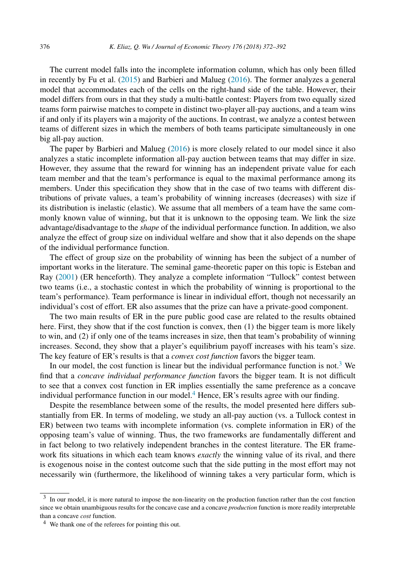The current model falls into the incomplete information column, which has only been filled in recently by Fu et al. [\(2015\)](#page-20-0) and Barbieri and Malueg [\(2016\)](#page-19-0). The former analyzes a general model that accommodates each of the cells on the right-hand side of the table. However, their model differs from ours in that they study a multi-battle contest: Players from two equally sized teams form pairwise matches to compete in distinct two-player all-pay auctions, and a team wins if and only if its players win a majority of the auctions. In contrast, we analyze a contest between teams of different sizes in which the members of both teams participate simultaneously in one big all-pay auction.

The paper by Barbieri and Malueg  $(2016)$  is more closely related to our model since it also analyzes a static incomplete information all-pay auction between teams that may differ in size. However, they assume that the reward for winning has an independent private value for each team member and that the team's performance is equal to the maximal performance among its members. Under this specification they show that in the case of two teams with different distributions of private values, a team's probability of winning increases (decreases) with size if its distribution is inelastic (elastic). We assume that all members of a team have the same commonly known value of winning, but that it is unknown to the opposing team. We link the size advantage/disadvantage to the *shape* of the individual performance function. In addition, we also analyze the effect of group size on individual welfare and show that it also depends on the shape of the individual performance function.

The effect of group size on the probability of winning has been the subject of a number of important works in the literature. The seminal game-theoretic paper on this topic is Esteban and Ray [\(2001\)](#page-19-0) (ER henceforth). They analyze a complete information "Tullock" contest between two teams (i.e., a stochastic contest in which the probability of winning is proportional to the team's performance). Team performance is linear in individual effort, though not necessarily an individual's cost of effort. ER also assumes that the prize can have a private-good component.

The two main results of ER in the pure public good case are related to the results obtained here. First, they show that if the cost function is convex, then *(*1*)* the bigger team is more likely to win, and *(*2*)* if only one of the teams increases in size, then that team's probability of winning increases. Second, they show that a player's equilibrium payoff increases with his team's size. The key feature of ER's results is that a *convex cost function* favors the bigger team.

In our model, the cost function is linear but the individual performance function is not.<sup>3</sup> We find that a *concave individual performance function* favors the bigger team. It is not difficult to see that a convex cost function in ER implies essentially the same preference as a concave individual performance function in our model. $4$  Hence, ER's results agree with our finding.

Despite the resemblance between some of the results, the model presented here differs substantially from ER. In terms of modeling, we study an all-pay auction (vs. a Tullock contest in ER) between two teams with incomplete information (vs. complete information in ER) of the opposing team's value of winning. Thus, the two frameworks are fundamentally different and in fact belong to two relatively independent branches in the contest literature. The ER framework fits situations in which each team knows *exactly* the winning value of its rival, and there is exogenous noise in the contest outcome such that the side putting in the most effort may not necessarily win (furthermore, the likelihood of winning takes a very particular form, which is

<sup>3</sup> In our model, it is more natural to impose the non-linearity on the production function rather than the cost function since we obtain unambiguous results for the concave case and a concave *production* function is more readily interpretable than a concave *cost* function.

<sup>4</sup> We thank one of the referees for pointing this out.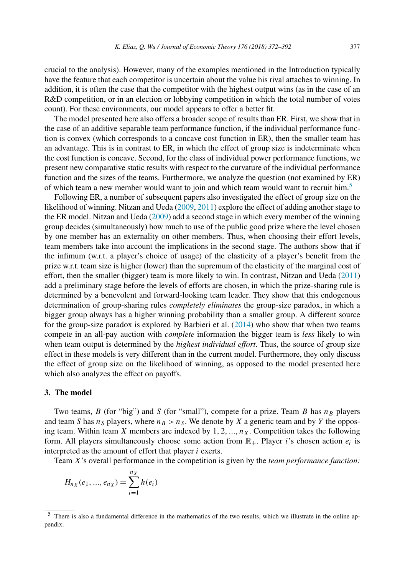<span id="page-5-0"></span>crucial to the analysis). However, many of the examples mentioned in the Introduction typically have the feature that each competitor is uncertain about the value his rival attaches to winning. In addition, it is often the case that the competitor with the highest output wins (as in the case of an R&D competition, or in an election or lobbying competition in which the total number of votes count). For these environments, our model appears to offer a better fit.

The model presented here also offers a broader scope of results than ER. First, we show that in the case of an additive separable team performance function, if the individual performance function is convex (which corresponds to a concave cost function in ER), then the smaller team has an advantage. This is in contrast to ER, in which the effect of group size is indeterminate when the cost function is concave. Second, for the class of individual power performance functions, we present new comparative static results with respect to the curvature of the individual performance function and the sizes of the teams. Furthermore, we analyze the question (not examined by ER) of which team a new member would want to join and which team would want to recruit him.<sup>5</sup>

Following ER, a number of subsequent papers also investigated the effect of group size on the likelihood of winning. Nitzan and Ueda [\(2009,](#page-20-0) [2011\)](#page-20-0) explore the effect of adding another stage to the ER model. Nitzan and Ueda [\(2009\)](#page-20-0) add a second stage in which every member of the winning group decides (simultaneously) how much to use of the public good prize where the level chosen by one member has an externality on other members. Thus, when choosing their effort levels, team members take into account the implications in the second stage. The authors show that if the infimum (w.r.t. a player's choice of usage) of the elasticity of a player's benefit from the prize w.r.t. team size is higher (lower) than the supremum of the elasticity of the marginal cost of effort, then the smaller (bigger) team is more likely to win. In contrast, Nitzan and Ueda [\(2011\)](#page-20-0) add a preliminary stage before the levels of efforts are chosen, in which the prize-sharing rule is determined by a benevolent and forward-looking team leader. They show that this endogenous determination of group-sharing rules *completely eliminates* the group-size paradox, in which a bigger group always has a higher winning probability than a smaller group. A different source for the group-size paradox is explored by Barbieri et al.  $(2014)$  who show that when two teams compete in an all-pay auction with *complete* information the bigger team is *less* likely to win when team output is determined by the *highest individual effort*. Thus, the source of group size effect in these models is very different than in the current model. Furthermore, they only discuss the effect of group size on the likelihood of winning, as opposed to the model presented here which also analyzes the effect on payoffs.

#### **3. The model**

Two teams, *B* (for "big") and *S* (for "small"), compete for a prize. Team *B* has  $n<sub>B</sub>$  players and team *S* has  $n_S$  players, where  $n_B > n_S$ . We denote by *X* a generic team and by *Y* the opposing team. Within team *X* members are indexed by  $1, 2, \ldots, n_X$ . Competition takes the following form. All players simultaneously choose some action from  $\mathbb{R}_+$ . Player *i*'s chosen action  $e_i$  is interpreted as the amount of effort that player *i* exerts.

Team *X*'s overall performance in the competition is given by the *team performance function:*

$$
H_{n_X}(e_1, ..., e_{n_X}) = \sum_{i=1}^{n_X} h(e_i)
$$

<sup>5</sup> There is also a fundamental difference in the mathematics of the two results, which we illustrate in the online appendix.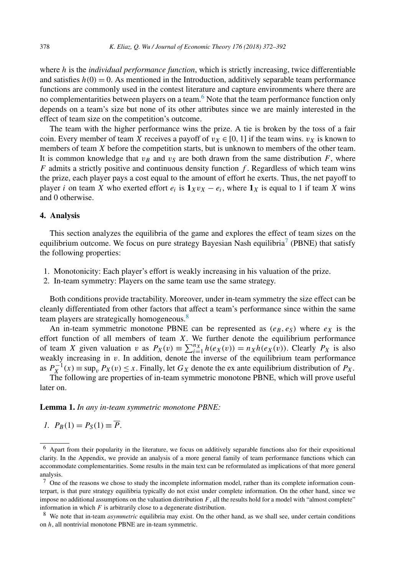<span id="page-6-0"></span>where *h* is the *individual performance function*, which is strictly increasing, twice differentiable and satisfies  $h(0) = 0$ . As mentioned in the Introduction, additively separable team performance functions are commonly used in the contest literature and capture environments where there are no complementarities between players on a team.<sup>6</sup> Note that the team performance function only depends on a team's size but none of its other attributes since we are mainly interested in the effect of team size on the competition's outcome.

The team with the higher performance wins the prize. A tie is broken by the toss of a fair coin. Every member of team *X* receives a payoff of  $v_x \in [0, 1]$  if the team wins.  $v_x$  is known to members of team *X* before the competition starts, but is unknown to members of the other team. It is common knowledge that  $v_B$  and  $v_S$  are both drawn from the same distribution  $F$ , where *F* admits a strictly positive and continuous density function *f* . Regardless of which team wins the prize, each player pays a cost equal to the amount of effort he exerts. Thus, the net payoff to player *i* on team *X* who exerted effort  $e_i$  is  $\mathbf{1}_Xv_X - e_i$ , where  $\mathbf{1}_X$  is equal to 1 if team *X* wins and 0 otherwise.

## **4. Analysis**

This section analyzes the equilibria of the game and explores the effect of team sizes on the equilibrium outcome. We focus on pure strategy Bayesian Nash equilibria<sup>7</sup> (PBNE) that satisfy the following properties:

- 1. Monotonicity: Each player's effort is weakly increasing in his valuation of the prize.
- 2. In-team symmetry: Players on the same team use the same strategy.

Both conditions provide tractability. Moreover, under in-team symmetry the size effect can be cleanly differentiated from other factors that affect a team's performance since within the same team players are strategically homogeneous.<sup>8</sup>

An in-team symmetric monotone PBNE can be represented as  $(e_B, e_S)$  where  $e_X$  is the effort function of all members of team *X*. We further denote the equilibrium performance of team *X* given valuation *v* as  $P_X(v) \equiv \sum_{i=1}^{n_X} h(e_X(v)) = n_X h(e_X(v))$ . Clearly  $P_X$  is also weakly increasing in  $v$ . In addition, denote the inverse of the equilibrium team performance as  $P_X^{-1}(x) \equiv \sup_v P_X(v) \le x$ . Finally, let  $G_X$  denote the ex ante equilibrium distribution of  $P_X$ .

The following are properties of in-team symmetric monotone PBNE, which will prove useful later on.

## **Lemma 1.** *In any in-team symmetric monotone PBNE:*

*1.*  $P_B(1) = P_S(1) \equiv \overline{P}$ .

<sup>6</sup> Apart from their popularity in the literature, we focus on additively separable functions also for their expositional clarity. In the Appendix, we provide an analysis of a more general family of team performance functions which can accommodate complementarities. Some results in the main text can be reformulated as implications of that more general analysis.

 $<sup>7</sup>$  One of the reasons we chose to study the incomplete information model, rather than its complete information coun-</sup> terpart, is that pure strategy equilibria typically do not exist under complete information. On the other hand, since we impose no additional assumptions on the valuation distribution *F*, all the results hold for a model with "almost complete" information in which *F* is arbitrarily close to a degenerate distribution.

<sup>8</sup> We note that in-team *asymmetric* equilibria may exist. On the other hand, as we shall see, under certain conditions on *h*, all nontrivial monotone PBNE are in-team symmetric.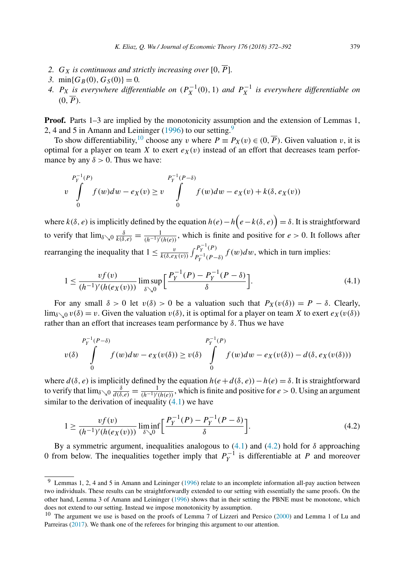- 2.  $G_X$  *is continuous and strictly increasing over*  $[0, \overline{P}]$ *.*
- *3.* min ${G_B(0), G_S(0)} = 0$ .
- *4. P<sub>X</sub> is everywhere differentiable on*  $(P_X^{-1}(0), 1)$  *and*  $P_X^{-1}$  *is everywhere differentiable on*  $(0, \overline{P})$ .

**Proof.** Parts 1–3 are implied by the monotonicity assumption and the extension of Lemmas 1, 2, 4 and 5 in Amann and Leininger [\(1996\)](#page-19-0) to our setting.<sup>9</sup>

To show differentiability,<sup>10</sup> choose any *v* where  $P = P_X(v) \in (0, \overline{P})$ . Given valuation *v*, it is optimal for a player on team *X* to exert  $e_X(v)$  instead of an effort that decreases team performance by any  $\delta > 0$ . Thus we have:

$$
v \int_{0}^{P_Y^{-1}(P)} f(w) dw - e_X(v) \ge v \int_{0}^{P_Y^{-1}(P-\delta)} f(w) dw - e_X(v) + k(\delta, e_X(v))
$$

where  $k(\delta, e)$  is implicitly defined by the equation  $h(e) - h(e - k(\delta, e)) = \delta$ . It is straightforward to verify that  $\lim_{\delta \searrow 0} \frac{\delta}{k(\delta, e)} = \frac{1}{(h^{-1})'(h(e))}$ , which is finite and positive for  $e > 0$ . It follows after rearranging the inequality that  $1 \leq \frac{v}{k(\delta, e_X(v))} \int_{P_v^{-1}(P)}^{P_Y^{-1}(P)} f_{P_v^{-1}(P)}$  $\frac{P_{Y}^{T}(P)}{P_{Y}^{-1}(P-\delta)} f(w)dw$ , which in turn implies:

$$
1 \le \frac{v f(v)}{(h^{-1})'(h(e_X(v)))} \limsup_{\delta \searrow 0} \left[ \frac{P_Y^{-1}(P) - P_Y^{-1}(P - \delta)}{\delta} \right].
$$
 (4.1)

For any small  $\delta > 0$  let  $v(\delta) > 0$  be a valuation such that  $P_X(v(\delta)) = P - \delta$ . Clearly,  $\lim_{\delta \to 0} v(\delta) = v$ . Given the valuation  $v(\delta)$ , it is optimal for a player on team *X* to exert  $e_X(v(\delta))$ rather than an effort that increases team performance by *δ*. Thus we have

$$
v(\delta) \int\limits_{0}^{P_Y^{-1}(P-\delta)} f(w)dw - e_X(v(\delta)) \ge v(\delta) \int\limits_{0}^{P_Y^{-1}(P)} f(w)dw - e_X(v(\delta)) - d(\delta, e_X(v(\delta)))
$$

where  $d(\delta, e)$  is implicitly defined by the equation  $h(e + d(\delta, e)) - h(e) = \delta$ . It is straightforward to verify that  $\lim_{\delta\to 0} \frac{\delta}{d(\delta,e)} = \frac{1}{(h^{-1})'(h(e))}$ , which is finite and positive for  $e > 0$ . Using an argument similar to the derivation of inequality  $(4.1)$  we have

$$
1 \ge \frac{v f(v)}{(h^{-1})'(h(e_X(v)))} \liminf_{\delta \searrow 0} \left[ \frac{P_Y^{-1}(P) - P_Y^{-1}(P - \delta)}{\delta} \right].
$$
 (4.2)

By a symmetric argument, inequalities analogous to  $(4.1)$  and  $(4.2)$  hold for  $\delta$  approaching 0 from below. The inequalities together imply that  $P_Y^{-1}$  is differentiable at *P* and moreover

Lemmas 1, 2, 4 and 5 in Amann and Leininger [\(1996\)](#page-19-0) relate to an incomplete information all-pay auction between two individuals. These results can be straightforwardly extended to our setting with essentially the same proofs. On the other hand, Lemma 3 of Amann and Leininger [\(1996\)](#page-19-0) shows that in their setting the PBNE must be monotone, which does not extend to our setting. Instead we impose monotonicity by assumption.

<sup>&</sup>lt;sup>10</sup> The argument we use is based on the proofs of Lemma 7 of Lizzeri and Persico [\(2000\)](#page-20-0) and Lemma 1 of Lu and Parreiras [\(2017\)](#page-20-0). We thank one of the referees for bringing this argument to our attention.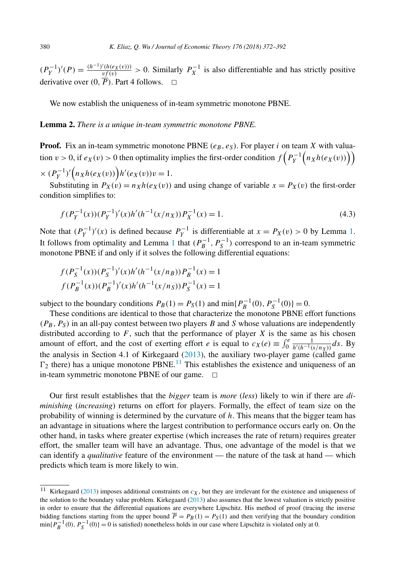<span id="page-8-0"></span> $(P_Y^{-1})'(P) = \frac{(h^{-1})'(h(e_X(v)))}{v f(v)} > 0$ . Similarly  $P_X^{-1}$  is also differentiable and has strictly positive derivative over  $(0, P)$ . Part 4 follows.  $\Box$ 

We now establish the uniqueness of in-team symmetric monotone PBNE.

**Lemma 2.** *There is a unique in-team symmetric monotone PBNE.*

**Proof.** Fix an in-team symmetric monotone PBNE  $(e_B, e_S)$ . For player *i* on team *X* with valuation *v* > 0, if  $e_X(v)$  > 0 then optimality implies the first-order condition  $f(P_Y^{-1}(n_Xh(e_X(v)))$  $\sqrt{2}$ 

$$
\times (P_Y^{-1})' \Big( n_X h(e_X(v)) \Big) h'(e_X(v)) v = 1.
$$

Substituting in  $P_X(v) = n_X h(e_X(v))$  and using change of variable  $x = P_X(v)$  the first-order condition simplifies to:

$$
f(P_Y^{-1}(x))(P_Y^{-1})'(x)h'(h^{-1}(x/n_X))P_X^{-1}(x) = 1.
$$
\n(4.3)

Note that  $(P_Y^{-1})'(x)$  is defined because  $P_Y^{-1}$  is differentiable at  $x = P_X(v) > 0$  by Lemma [1.](#page-6-0) It follows from optimality and Lemma [1](#page-6-0) that  $(P_B^{-1}, P_S^{-1})$  correspond to an in-team symmetric monotone PBNE if and only if it solves the following differential equations:

$$
f(P_S^{-1}(x))(P_S^{-1})'(x)h'(h^{-1}(x/n_B))P_B^{-1}(x) = 1
$$
  

$$
f(P_B^{-1}(x))(P_B^{-1})'(x)h'(h^{-1}(x/n_S))P_S^{-1}(x) = 1
$$

subject to the boundary conditions  $P_B(1) = P_S(1)$  and  $\min\{P_B^{-1}(0), P_S^{-1}(0)\} = 0$ .

These conditions are identical to those that characterize the monotone PBNE effort functions  $(P_B, P_S)$  in an all-pay contest between two players *B* and *S* whose valuations are independently distributed according to  $F$ , such that the performance of player  $X$  is the same as his chosen amount of effort, and the cost of exerting effort *e* is equal to  $c_X(e) \equiv \int_0^e \frac{1}{h'(h^{-1}(s/n_X))} ds$ . By the analysis in Section 4.1 of Kirkegaard  $(2013)$ , the auxiliary two-player game (called game  $\Gamma_2$  there) has a unique monotone PBNE.<sup>11</sup> This establishes the existence and uniqueness of an in-team symmetric monotone PBNE of our game.  $\Box$ 

Our first result establishes that the *bigger* team is *more* (*less*) likely to win if there are *diminishing* (*increasing*) returns on effort for players. Formally, the effect of team size on the probability of winning is determined by the curvature of *h*. This means that the bigger team has an advantage in situations where the largest contribution to performance occurs early on. On the other hand, in tasks where greater expertise (which increases the rate of return) requires greater effort, the smaller team will have an advantage. Thus, one advantage of the model is that we can identify a *qualitative* feature of the environment — the nature of the task at hand — which predicts which team is more likely to win.

<sup>&</sup>lt;sup>11</sup> Kirkegaard [\(2013\)](#page-20-0) imposes additional constraints on  $c<sub>X</sub>$ , but they are irrelevant for the existence and uniqueness of the solution to the boundary value problem. Kirkegaard [\(2013\)](#page-20-0) also assumes that the lowest valuation is strictly positive in order to ensure that the differential equations are everywhere Lipschitz. His method of proof (tracing the inverse bidding functions starting from the upper bound  $\overline{P} = P_B(1) = P_S(1)$  and then verifying that the boundary condition  $\min\{P_B^{-1}(0), P_S^{-1}(0)\} = 0$  is satisfied) nonetheless holds in our case where Lipschitz is violated only at 0.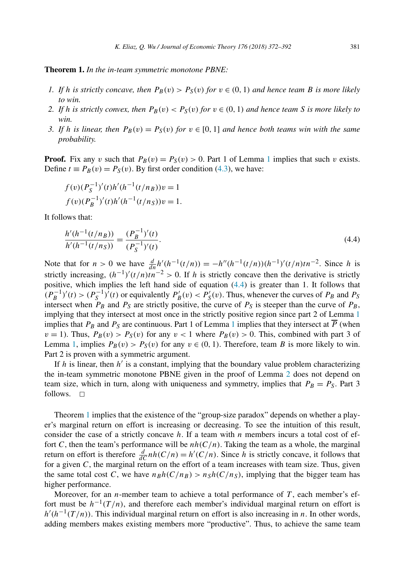#### <span id="page-9-0"></span>**Theorem 1.** *In the in-team symmetric monotone PBNE:*

- 1. If h is strictly concave, then  $P_B(v) > P_S(v)$  for  $v \in (0, 1)$  and hence team B is more likely *to win.*
- 2. If h is strictly convex, then  $P_B(v) < P_S(v)$  for  $v \in (0, 1)$  and hence team S is more likely to *win.*
- *3.* If *h* is linear, then  $P_B(v) = P_S(v)$  for  $v \in [0, 1]$  and hence both teams win with the same *probability.*

**Proof.** Fix any *v* such that  $P_B(v) = P_S(v) > 0$ . Part [1](#page-6-0) of Lemma 1 implies that such *v* exists. Define  $t \equiv P_B(v) = P_S(v)$ . By first order condition [\(4.3\)](#page-8-0), we have:

$$
f(v)(P_S^{-1})'(t)h'(h^{-1}(t/n_B))v = 1
$$
  

$$
f(v)(P_B^{-1})'(t)h'(h^{-1}(t/n_S))v = 1.
$$

It follows that:

$$
\frac{h'(h^{-1}(t/n_B))}{h'(h^{-1}(t/n_S))} = \frac{(P_B^{-1})'(t)}{(P_S^{-1})'(t)}.
$$
\n(4.4)

Note that for  $n > 0$  we have  $\frac{d}{dn}h'(h^{-1}(t/n)) = -h''(h^{-1}(t/n))(h^{-1})'(t/n)tn^{-2}$ . Since *h* is strictly increasing,  $(h^{-1})'(t/n)$ t $n^{-2} > 0$ . If *h* is strictly concave then the derivative is strictly positive, which implies the left hand side of equation (4.4) is greater than 1. It follows that  $(P_B^{-1})'(t) > (P_S^{-1})'(t)$  or equivalently  $P'_B(v) < P'_S(v)$ . Thus, whenever the curves of  $P_B$  and  $P_S$ intersect when  $P_B$  and  $P_S$  are strictly positive, the curve of  $P_S$  is steeper than the curve of  $P_B$ , implying that they intersect at most once in the strictly positive region since part 2 of Lemma [1](#page-6-0) implies that  $P_B$  and  $P_S$  are continuous. Part [1](#page-6-0) of Lemma 1 implies that they intersect at  $\overline{P}$  (when  $v = 1$ ). Thus,  $P_B(v) > P_S(v)$  for any  $v < 1$  where  $P_B(v) > 0$ . This, combined with part 3 of Lemma [1,](#page-6-0) implies  $P_B(v) > P_S(v)$  for any  $v \in (0, 1)$ . Therefore, team *B* is more likely to win. Part 2 is proven with a symmetric argument.

If *h* is linear, then *h* is a constant, implying that the boundary value problem characterizing the in-team symmetric monotone PBNE given in the proof of Lemma [2](#page-8-0) does not depend on team size, which in turn, along with uniqueness and symmetry, implies that  $P_B = P_S$ . Part 3 follows.  $\square$ 

Theorem 1 implies that the existence of the "group-size paradox" depends on whether a player's marginal return on effort is increasing or decreasing. To see the intuition of this result, consider the case of a strictly concave *h*. If a team with *n* members incurs a total cost of effort *C*, then the team's performance will be  $nh(C/n)$ . Taking the team as a whole, the marginal return on effort is therefore  $\frac{d}{dC}nh(C/n) = h'(C/n)$ . Since *h* is strictly concave, it follows that for a given  $C$ , the marginal return on the effort of a team increases with team size. Thus, given the same total cost C, we have  $n_B h(C/n_B) > n_S h(C/n_S)$ , implying that the bigger team has higher performance.

Moreover, for an  $n$ -member team to achieve a total performance of  $T$ , each member's effort must be  $h^{-1}(T/n)$ , and therefore each member's individual marginal return on effort is  $h'(h^{-1}(T/n))$ . This individual marginal return on effort is also increasing in *n*. In other words, adding members makes existing members more "productive". Thus, to achieve the same team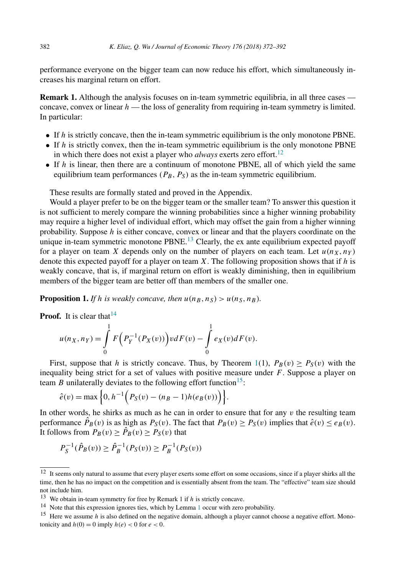<span id="page-10-0"></span>performance everyone on the bigger team can now reduce his effort, which simultaneously increases his marginal return on effort.

**Remark 1.** Although the analysis focuses on in-team symmetric equilibria, in all three cases concave, convex or linear *h* — the loss of generality from requiring in-team symmetry is limited. In particular:

- If *h* is strictly concave, then the in-team symmetric equilibrium is the only monotone PBNE.
- If *h* is strictly convex, then the in-team symmetric equilibrium is the only monotone PBNE in which there does not exist a player who *always* exerts zero effort.<sup>12</sup>
- If *h* is linear, then there are a continuum of monotone PBNE, all of which yield the same equilibrium team performances  $(P_B, P_S)$  as the in-team symmetric equilibrium.

These results are formally stated and proved in the Appendix.

Would a player prefer to be on the bigger team or the smaller team? To answer this question it is not sufficient to merely compare the winning probabilities since a higher winning probability may require a higher level of individual effort, which may offset the gain from a higher winning probability. Suppose *h* is either concave, convex or linear and that the players coordinate on the unique in-team symmetric monotone PBNE.<sup>13</sup> Clearly, the ex ante equilibrium expected payoff for a player on team *X* depends only on the number of players on each team. Let  $u(n<sub>X</sub>, n<sub>Y</sub>)$ denote this expected payoff for a player on team *X*. The following proposition shows that if *h* is weakly concave, that is, if marginal return on effort is weakly diminishing, then in equilibrium members of the bigger team are better off than members of the smaller one.

**Proposition 1.** *If h is weakly concave, then*  $u(n_B, n_S) > u(n_S, n_B)$ *.* 

**Proof.** It is clear that <sup>14</sup>

$$
u(n_X, n_Y) = \int_{0}^{1} F\Big(P_Y^{-1}(P_X(v))\Big)v dF(v) - \int_{0}^{1} e_X(v) dF(v).
$$

First, suppose that *h* is strictly concave. Thus, by Theorem [1\(](#page-9-0)1),  $P_B(v) \ge P_S(v)$  with the inequality being strict for a set of values with positive measure under *F*. Suppose a player on team *B* unilaterally deviates to the following effort function<sup>15</sup>:

$$
\hat{e}(v) = \max\Big\{0, h^{-1}\Big(P_S(v) - (n_B - 1)h(e_B(v))\Big)\Big\}.
$$

In other words, he shirks as much as he can in order to ensure that for any  $v$  the resulting team performance  $\hat{P}_B(v)$  is as high as  $P_S(v)$ . The fact that  $P_B(v) \ge P_S(v)$  implies that  $\hat{e}(v) \le e_B(v)$ . It follows from  $P_B(v) \ge \hat{P}_B(v) \ge P_S(v)$  that

$$
P_S^{-1}(\hat{P}_B(v)) \ge \hat{P}_B^{-1}(P_S(v)) \ge P_B^{-1}(P_S(v))
$$

<sup>&</sup>lt;sup>12</sup> It seems only natural to assume that every player exerts some effort on some occasions, since if a player shirks all the time, then he has no impact on the competition and is essentially absent from the team. The "effective" team size should not include him.

<sup>13</sup> We obtain in-team symmetry for free by Remark 1 if *h* is strictly concave.

 $14$  $14$  Note that this expression ignores ties, which by Lemma 1 occur with zero probability.

<sup>&</sup>lt;sup>15</sup> Here we assume *h* is also defined on the negative domain, although a player cannot choose a negative effort. Monotonicity and  $h(0) = 0$  imply  $h(e) < 0$  for  $e < 0$ .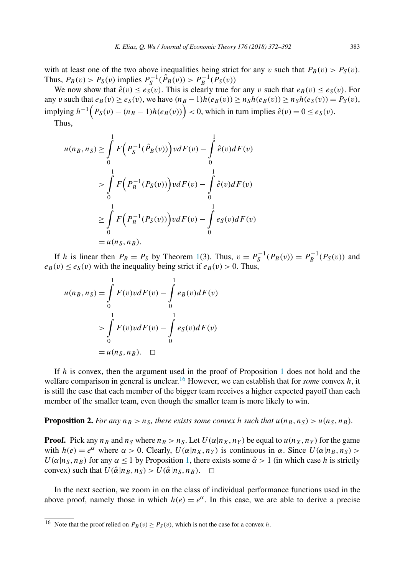with at least one of the two above inequalities being strict for any *v* such that  $P_B(v) > P_S(v)$ . Thus,  $P_B(v) > P_S(v)$  implies  $P_S^{-1}(\hat{P}_B(v)) > P_B^{-1}(P_S(v))$ 

We now show that  $\hat{e}(v) \leq e_{S}(v)$ . This is clearly true for any *v* such that  $e_{B}(v) \leq e_{S}(v)$ . For any *v* such that  $e_B(v) \ge e_S(v)$ , we have  $(n_B - 1)h(e_B(v)) \ge n_Sh(e_B(v)) \ge n_Sh(e_S(v)) = P_S(v)$ ,  $\text{implying } h^{-1} (P_S(v) - (n_B - 1)h(e_B(v)))$  < 0, which in turn implies  $\hat{e}(v) = 0 ≤ e_S(v)$ . Thus,

$$
u(n_B, n_S) \geq \int_{0}^{1} F(P_S^{-1}(\hat{P}_B(v)))v dF(v) - \int_{0}^{1} \hat{e}(v) dF(v)
$$
  
> 
$$
\int_{0}^{1} F(P_B^{-1}(P_S(v)))v dF(v) - \int_{0}^{1} \hat{e}(v) dF(v)
$$
  

$$
\geq \int_{0}^{1} F(P_B^{-1}(P_S(v)))v dF(v) - \int_{0}^{1} e_S(v) dF(v)
$$
  
=  $u(n_S, n_B).$ 

If *h* is linear then  $P_B = P_S$  by Theorem [1\(](#page-9-0)3). Thus,  $v = P_S^{-1}(P_B(v)) = P_B^{-1}(P_S(v))$  and  $e_B(v) \leq e_S(v)$  with the inequality being strict if  $e_B(v) > 0$ . Thus,

$$
u(n_B, n_S) = \int_0^1 F(v)v dF(v) - \int_0^1 e_B(v) dF(v)
$$
  
> 
$$
\int_0^1 F(v)v dF(v) - \int_0^1 e_S(v) dF(v)
$$
  
= 
$$
u(n_S, n_B).
$$

If *h* is convex, then the argument used in the proof of Proposition [1](#page-10-0) does not hold and the welfare comparison in general is unclear.16 However, we can establish that for *some* convex *h*, it is still the case that each member of the bigger team receives a higher expected payoff than each member of the smaller team, even though the smaller team is more likely to win.

**Proposition 2.** For any  $n_B > n_S$ , there exists some convex h such that  $u(n_B, n_S) > u(n_S, n_B)$ .

**Proof.** Pick any  $n_B$  and  $n_S$  where  $n_B > n_S$ . Let  $U(\alpha | n_X, n_Y)$  be equal to  $u(n_X, n_Y)$  for the game with  $h(e) = e^{\alpha}$  where  $\alpha > 0$ . Clearly,  $U(\alpha | n_X, n_Y)$  is continuous in  $\alpha$ . Since  $U(\alpha | n_B, n_S)$  $U(\alpha | n_S, n_B)$  for any  $\alpha \le 1$  by Proposition [1,](#page-10-0) there exists some  $\hat{\alpha} > 1$  (in which case *h* is strictly convex) such that  $U(\hat{\alpha}|n_B, n_S) > U(\hat{\alpha}|n_S, n_B)$ .

In the next section, we zoom in on the class of individual performance functions used in the above proof, namely those in which  $h(e) = e^{\alpha}$ . In this case, we are able to derive a precise

<sup>&</sup>lt;sup>16</sup> Note that the proof relied on  $P_B(v) \ge P_S(v)$ , which is not the case for a convex *h*.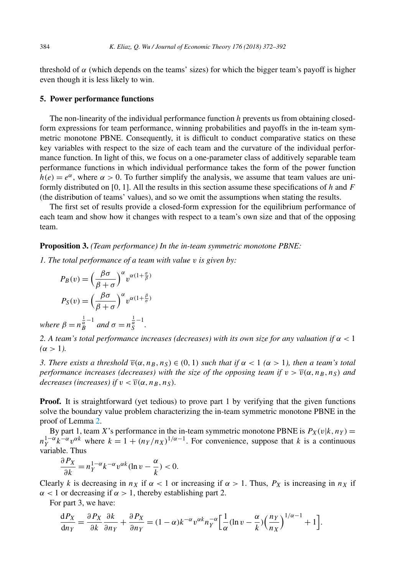<span id="page-12-0"></span>threshold of  $\alpha$  (which depends on the teams' sizes) for which the bigger team's payoff is higher even though it is less likely to win.

## **5. Power performance functions**

The non-linearity of the individual performance function *h* prevents us from obtaining closedform expressions for team performance, winning probabilities and payoffs in the in-team symmetric monotone PBNE. Consequently, it is difficult to conduct comparative statics on these key variables with respect to the size of each team and the curvature of the individual performance function. In light of this, we focus on a one-parameter class of additively separable team performance functions in which individual performance takes the form of the power function  $h(e) = e^{\alpha}$ , where  $\alpha > 0$ . To further simplify the analysis, we assume that team values are uniformly distributed on [0*,* 1]. All the results in this section assume these specifications of *h* and *F* (the distribution of teams' values), and so we omit the assumptions when stating the results.

The first set of results provide a closed-form expression for the equilibrium performance of each team and show how it changes with respect to a team's own size and that of the opposing team.

**Proposition 3.** *(Team performance) In the in-team symmetric monotone PBNE:*

*1. The total performance of a team with value v is given by:*

$$
P_B(v) = \left(\frac{\beta\sigma}{\beta+\sigma}\right)^{\alpha} v^{\alpha(1+\frac{\sigma}{\beta})}
$$

$$
P_S(v) = \left(\frac{\beta\sigma}{\beta+\sigma}\right)^{\alpha} v^{\alpha(1+\frac{\beta}{\sigma})}
$$

*where*  $\beta = n \frac{\frac{1}{\alpha} - 1}{B}$  *and*  $\sigma = n \frac{\frac{1}{\alpha} - 1}{S}$ .

*2. A team's total performance increases (decreases) with its own size for any valuation if α <* 1  $(\alpha > 1)$ .

3. There exists a threshold  $\overline{v}(\alpha, n_B, n_S) \in (0, 1)$  such that if  $\alpha < 1$  ( $\alpha > 1$ ), then a team's total *performance increases* (*decreases*) *with the size of the opposing team if*  $v > \overline{v}(\alpha, n_B, n_S)$  *and decreases (increases) if*  $v < \overline{v}(\alpha, n_B, n_S)$ *.* 

**Proof.** It is straightforward (yet tedious) to prove part 1 by verifying that the given functions solve the boundary value problem characterizing the in-team symmetric monotone PBNE in the proof of Lemma [2.](#page-8-0)

By part 1, team *X*'s performance in the in-team symmetric monotone PBNE is  $P_X(v|k, n_Y) =$  $n_Y^{1-\alpha}$  $\bar{k}^{-\alpha}$  $\bar{v}^{\alpha k}$  where  $\bar{k} = 1 + (n_Y/n_X)^{1/\alpha - 1}$ . For convenience, suppose that *k* is a continuous variable. Thus

$$
\frac{\partial P_X}{\partial k} = n_Y^{1-\alpha} k^{-\alpha} v^{\alpha k} (\ln v - \frac{\alpha}{k}) < 0.
$$

Clearly *k* is decreasing in  $n_X$  if  $\alpha < 1$  or increasing if  $\alpha > 1$ . Thus,  $P_X$  is increasing in  $n_X$  if  $\alpha$  < 1 or decreasing if  $\alpha$  > 1, thereby establishing part 2.

For part 3, we have:

$$
\frac{dP_X}{dn_Y} = \frac{\partial P_X}{\partial k} \frac{\partial k}{\partial n_Y} + \frac{\partial P_X}{\partial n_Y} = (1 - \alpha)k^{-\alpha}v^{\alpha k}n_Y^{-\alpha} \Big[\frac{1}{\alpha}(\ln v - \frac{\alpha}{k})\Big(\frac{n_Y}{n_X}\Big)^{1/\alpha - 1} + 1\Big].
$$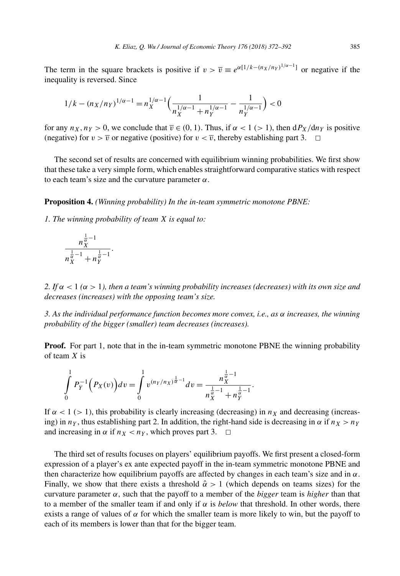The term in the square brackets is positive if  $v > \overline{v} \equiv e^{\alpha[1/k-(n_X/n_Y)^{1/\alpha-1}]}$  or negative if the inequality is reversed. Since

$$
1/k - (n_X/n_Y)^{1/\alpha - 1} = n_X^{1/\alpha - 1} \left( \frac{1}{n_X^{1/\alpha - 1} + n_Y^{1/\alpha - 1}} - \frac{1}{n_Y^{1/\alpha - 1}} \right) < 0
$$

for any  $n_X, n_Y > 0$ , we conclude that  $\overline{v} \in (0, 1)$ . Thus, if  $\alpha < 1$  ( $> 1$ ), then  $dP_X/dn_Y$  is positive (negative) for  $v > \overline{v}$  or negative (positive) for  $v < \overline{v}$ , thereby establishing part 3.  $\Box$ 

The second set of results are concerned with equilibrium winning probabilities. We first show that these take a very simple form, which enables straightforward comparative statics with respect to each team's size and the curvature parameter *α*.

**Proposition 4.** *(Winning probability) In the in-team symmetric monotone PBNE:*

*1. The winning probability of team X is equal to:*

$$
\frac{n_{X}^{\frac{1}{\alpha}-1}}{n_{X}^{\frac{1}{\alpha}-1}+n_{Y}^{\frac{1}{\alpha}-1}}.
$$

*2. If*  $\alpha$  < 1 ( $\alpha$  > 1), *then a team's winning probability increases* (*decreases*) *with its own size and decreases (increases) with the opposing team's size.*

*3. As the individual performance function becomes more convex, i.e., as α increases, the winning probability of the bigger (smaller) team decreases (increases).*

**Proof.** For part 1, note that in the in-team symmetric monotone PBNE the winning probability of team *X* is

$$
\int_{0}^{1} P_{Y}^{-1}(P_{X}(v))dv = \int_{0}^{1} v^{(n_{Y}/n_{X})^{\frac{1}{\alpha}-1}}dv = \frac{n_{X}^{\frac{1}{\alpha}-1}}{n_{X}^{\frac{1}{\alpha}-1}+n_{Y}^{\frac{1}{\alpha}-1}}.
$$

If  $\alpha$  < 1 (> 1), this probability is clearly increasing (decreasing) in  $n<sub>X</sub>$  and decreasing (increasing) in  $n_Y$ , thus establishing part 2. In addition, the right-hand side is decreasing in  $\alpha$  if  $n_X > n_Y$ and increasing in  $\alpha$  if  $n_X < n_Y$ , which proves part 3.  $\Box$ 

The third set of results focuses on players' equilibrium payoffs. We first present a closed-form expression of a player's ex ante expected payoff in the in-team symmetric monotone PBNE and then characterize how equilibrium payoffs are affected by changes in each team's size and in  $\alpha$ . Finally, we show that there exists a threshold  $\hat{\alpha} > 1$  (which depends on teams sizes) for the curvature parameter  $\alpha$ , such that the payoff to a member of the *bigger* team is *higher* than that to a member of the smaller team if and only if  $\alpha$  is *below* that threshold. In other words, there exists a range of values of  $\alpha$  for which the smaller team is more likely to win, but the payoff to each of its members is lower than that for the bigger team.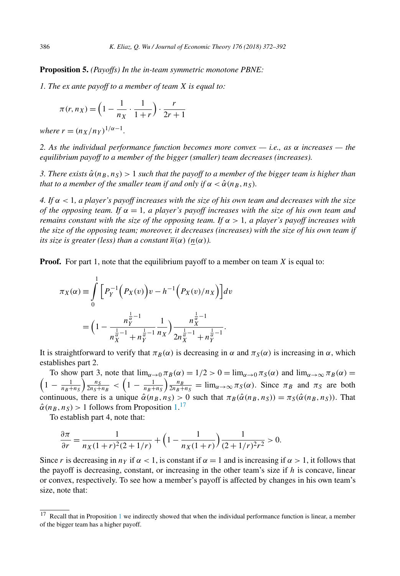<span id="page-14-0"></span>**Proposition 5.** *(Payoffs) In the in-team symmetric monotone PBNE:*

*1. The ex ante payoff to a member of team X is equal to:*

$$
\pi(r, n_X) = \left(1 - \frac{1}{n_X} \cdot \frac{1}{1+r}\right) \cdot \frac{r}{2r+1}
$$

*where*  $r = (n_X/n_Y)^{1/\alpha - 1}$ .

*2. As the individual performance function becomes more convex — i.e., as α increases — the equilibrium payoff to a member of the bigger (smaller) team decreases (increases).*

3. There exists  $\hat{\alpha}(n_B, n_S) > 1$  such that the payoff to a member of the bigger team is higher than *that to a member of the smaller team if and only if*  $\alpha < \hat{\alpha}(n_B, n_S)$ *.* 

4. If  $\alpha$  < 1, a player's payoff increases with the size of his own team and decreases with the size of the opposing team. If  $\alpha = 1$ , a player's payoff increases with the size of his own team and *remains* constant with the size of the opposing team. If  $\alpha > 1$ , a player's payoff increases with *the size of the opposing team; moreover, it decreases (increases) with the size of his own team if its size is greater* (*less*) *than a constant*  $\overline{n}(\alpha)$  (*n*( $\alpha$ )).

**Proof.** For part 1, note that the equilibrium payoff to a member on team *X* is equal to:

$$
\pi_X(\alpha) \equiv \int_0^1 \left[ P_Y^{-1} \left( P_X(v) \right) v - h^{-1} \left( P_X(v) / n_X \right) \right] dv
$$
  
= 
$$
\left( 1 - \frac{n_Y^{\frac{1}{\alpha} - 1}}{n_X^{\frac{1}{\alpha} - 1} + n_Y^{\frac{1}{\alpha} - 1}} \frac{1}{n_X} \right) \frac{n_X^{\frac{1}{\alpha} - 1}}{2n_X^{\frac{1}{\alpha} - 1} + n_Y^{\frac{1}{\alpha} - 1}}.
$$

It is straightforward to verify that  $\pi_B(\alpha)$  is decreasing in  $\alpha$  and  $\pi_S(\alpha)$  is increasing in  $\alpha$ , which establishes part 2.

 $\left(1 - \frac{1}{n_B + n_S}\right) \frac{n_S}{2n_S + n_B} < \left(1 - \frac{1}{n_B + n_S}\right) \frac{n_B}{2n_B + n_S} = \lim_{\alpha \to \infty} \pi_S(\alpha)$ . Since  $\pi_B$  and  $\pi_S$  are both To show part 3, note that  $\lim_{\alpha\to 0} \pi_B(\alpha) = 1/2 > 0 = \lim_{\alpha\to 0} \pi_S(\alpha)$  and  $\lim_{\alpha\to \infty} \pi_B(\alpha) =$ continuous, there is a unique  $\hat{\alpha}(n_B, n_S) > 0$  such that  $\pi_B(\hat{\alpha}(n_B, n_S)) = \pi_S(\hat{\alpha}(n_B, n_S))$ . That  $\hat{\alpha}(n_B, n_S) > 1$  follows from Proposition [1.](#page-10-0)<sup>[17](#page-10-0)</sup>

To establish part 4, note that:

$$
\frac{\partial \pi}{\partial r} = \frac{1}{n_X(1+r)^2(2+1/r)} + \left(1 - \frac{1}{n_X(1+r)}\right) \frac{1}{(2+1/r)^2 r^2} > 0.
$$

Since *r* is decreasing in  $n_Y$  if  $\alpha < 1$ , is constant if  $\alpha = 1$  and is increasing if  $\alpha > 1$ , it follows that the payoff is decreasing, constant, or increasing in the other team's size if *h* is concave, linear or convex, respectively. To see how a member's payoff is affected by changes in his own team's size, note that:

<sup>&</sup>lt;sup>[1](#page-10-0)7</sup> Recall that in Proposition 1 we indirectly showed that when the individual performance function is linear, a member of the bigger team has a higher payoff.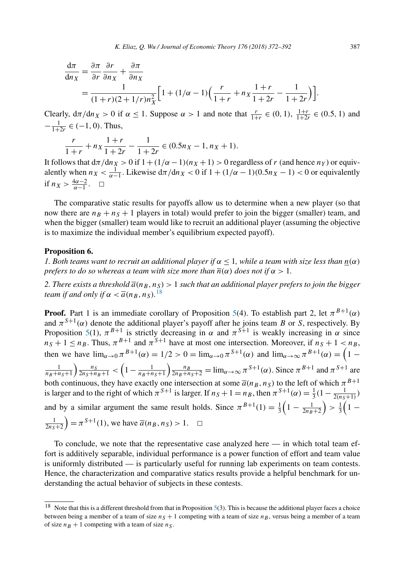$$
\frac{d\pi}{dn_X} = \frac{\partial \pi}{\partial r} \frac{\partial r}{\partial n_X} + \frac{\partial \pi}{\partial n_X}
$$
  
= 
$$
\frac{1}{(1+r)(2+1/r)n_X^2} \Big[ 1 + (1/\alpha - 1) \Big( \frac{r}{1+r} + nx \frac{1+r}{1+2r} - \frac{1}{1+2r} \Big) \Big].
$$

Clearly,  $d\pi/dn_X > 0$  if  $\alpha \le 1$ . Suppose  $\alpha > 1$  and note that  $\frac{r}{1+r} \in (0, 1)$ ,  $\frac{1+r}{1+2r} \in (0.5, 1)$  and  $-\frac{1}{1+2r} \in (-1, 0)$ . Thus,

$$
\frac{r}{1+r} + nx\frac{1+r}{1+2r} - \frac{1}{1+2r} \in (0.5n_X - 1, n_X + 1).
$$

It follows that  $d\pi/dn_X > 0$  if  $1 + (1/\alpha - 1)(n_X + 1) > 0$  regardless of *r* (and hence  $n_Y$ ) or equivalently when  $n_X < \frac{1}{\alpha - 1}$ . Likewise  $d\pi / d n_X < 0$  if  $1 + (1/\alpha - 1)(0.5n_X - 1) < 0$  or equivalently if  $n_X > \frac{4\alpha - 2}{\alpha - 1}$ . <del>□</del>

The comparative static results for payoffs allow us to determine when a new player (so that now there are  $n<sub>B</sub> + n<sub>S</sub> + 1$  players in total) would prefer to join the bigger (smaller) team, and when the bigger (smaller) team would like to recruit an additional player (assuming the objective is to maximize the individual member's equilibrium expected payoff).

## **Proposition 6.**

1. Both teams want to recruit an additional player if  $\alpha$  < 1, while a team with size less than  $n(\alpha)$ *prefers to do so whereas a team with size more than*  $\overline{n}(\alpha)$  *does not if*  $\alpha > 1$ *.* 

2. There exists a threshold  $\overline{a}(n_B, n_S) > 1$  such that an additional player prefers to join the bigger *team if and only if*  $\alpha < \overline{a}(n_B, n_S)$ .<sup>18</sup>

**Proof.** Part 1 is an immediate corollary of Proposition [5\(](#page-14-0)4). To establish part 2, let  $\pi^{B+1}(\alpha)$ and  $\pi^{S+1}(\alpha)$  denote the additional player's payoff after he joins team *B* or *S*, respectively. By Proposition [5\(](#page-14-0)1),  $\pi^{B+1}$  is strictly decreasing in  $\alpha$  and  $\pi^{S+1}$  is weakly increasing in  $\alpha$  since  $n_S + 1 \le n_B$ . Thus,  $\pi^{B+1}$  and  $\pi^{S+1}$  have at most one intersection. Moreover, if  $n_S + 1 < n_B$ , then we have  $\lim_{\alpha \to 0} \pi^{B+1}(\alpha) = 1/2 > 0 = \lim_{\alpha \to 0} \pi^{S+1}(\alpha)$  and  $\lim_{\alpha \to \infty} \pi^{B+1}(\alpha) = \left(1 - \frac{1}{\alpha}\right)$  $\frac{1}{n_B+n_S+1}$  $\frac{n_S}{2n_S+n_B+1}$   $<$   $\left(1-\frac{1}{n_B+n_S+1}\right) \frac{n_B}{2n_B+n_S+2}$   $=$   $\lim_{\alpha \to \infty} \pi^{S+1}(\alpha)$ . Since  $\pi^{B+1}$  and  $\pi^{S+1}$  are both continuous, they have exactly one intersection at some  $\overline{a}(n_B, n_S)$  to the left of which  $\pi^{B+1}$ is larger and to the right of which  $\pi^{S+1}$  is larger. If  $n_S + 1 = n_B$ , then  $\pi^{S+1}(\alpha) = \frac{1}{3}(1 - \frac{1}{2(n_S+1)})$ and by a similar argument the same result holds. Since  $\pi^{B+1}(1) = \frac{1}{3}\left(1 - \frac{1}{2n_B+2}\right)$  $=$   $\frac{1}{3}$  $\left(1 - \frac{1}{3}\right)$  $rac{1}{2n_S+2}$  $=\pi^{S+1}(1)$ , we have  $\overline{a}(n_B, n_S) > 1$ .  $\Box$ 

To conclude, we note that the representative case analyzed here — in which total team effort is additively separable, individual performance is a power function of effort and team value is uniformly distributed — is particularly useful for running lab experiments on team contests. Hence, the characterization and comparative statics results provide a helpful benchmark for understanding the actual behavior of subjects in these contests.

<sup>&</sup>lt;sup>18</sup> Note that this is a different threshold from that in Proposition [5\(](#page-14-0)3). This is because the additional player faces a choice between being a member of a team of size  $n<sub>S</sub> + 1$  competing with a team of size  $n<sub>B</sub>$ , versus being a member of a team of size  $n_B + 1$  competing with a team of size  $n_S$ .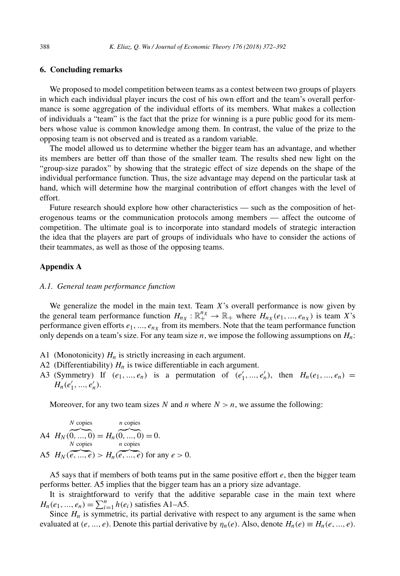## <span id="page-16-0"></span>**6. Concluding remarks**

We proposed to model competition between teams as a contest between two groups of players in which each individual player incurs the cost of his own effort and the team's overall performance is some aggregation of the individual efforts of its members. What makes a collection of individuals a "team" is the fact that the prize for winning is a pure public good for its members whose value is common knowledge among them. In contrast, the value of the prize to the opposing team is not observed and is treated as a random variable.

The model allowed us to determine whether the bigger team has an advantage, and whether its members are better off than those of the smaller team. The results shed new light on the "group-size paradox" by showing that the strategic effect of size depends on the shape of the individual performance function. Thus, the size advantage may depend on the particular task at hand, which will determine how the marginal contribution of effort changes with the level of effort.

Future research should explore how other characteristics — such as the composition of heterogenous teams or the communication protocols among members — affect the outcome of competition. The ultimate goal is to incorporate into standard models of strategic interaction the idea that the players are part of groups of individuals who have to consider the actions of their teammates, as well as those of the opposing teams.

# **Appendix A**

#### *A.1. General team performance function*

We generalize the model in the main text. Team *X*'s overall performance is now given by the general team performance function  $H_{n_X}: \mathbb{R}^{n_X}_+ \to \mathbb{R}_+$  where  $H_{n_X}(e_1, ..., e_{n_X})$  is team X's performance given efforts  $e_1, ..., e_{n_x}$  from its members. Note that the team performance function only depends on a team's size. For any team size  $n$ , we impose the following assumptions on  $H_n$ :

- A1 (Monotonicity)  $H_n$  is strictly increasing in each argument.
- A2 (Differentiability)  $H_n$  is twice differentiable in each argument.
- A3 (Symmetry) If  $(e_1, ..., e_n)$  is a permutation of  $(e'_1, ..., e'_n)$ , then  $H_n(e_1, ..., e_n)$  =  $H_n(e'_1, ..., e'_n).$

Moreover, for any two team sizes *N* and *n* where  $N > n$ , we assume the following:

A4 
$$
H_N(\overbrace{0, ..., 0}^{N \text{ copies}}) = H_n(\overbrace{0, ..., 0}^{n \text{ copies}}) = 0.
$$
  
A5  $H_N(\overbrace{e, ..., e}^{N \text{ copies}}) > H_n(\overbrace{e, ..., e}^{n \text{ copies}})$  for any  $e > 0$ .

A5 says that if members of both teams put in the same positive effort *e*, then the bigger team performs better. A5 implies that the bigger team has an a priory size advantage.

It is straightforward to verify that the additive separable case in the main text where  $H_n(e_1, ..., e_n) = \sum_{i=1}^n h(e_i)$  satisfies A1–A5.

Since  $H_n$  is symmetric, its partial derivative with respect to any argument is the same when evaluated at  $(e, ..., e)$ . Denote this partial derivative by  $\eta_n(e)$ . Also, denote  $H_n(e) \equiv H_n(e, ..., e)$ .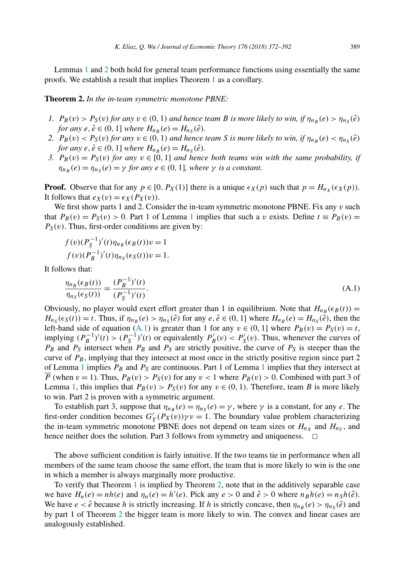Lemmas [1](#page-6-0) and [2](#page-8-0) both hold for general team performance functions using essentially the same proofs. We establish a result that implies Theorem [1](#page-9-0) as a corollary.

**Theorem 2.** *In the in-team symmetric monotone PBNE:*

- 1.  $P_B(v) > P_S(v)$  for any  $v \in (0, 1)$  and hence team B is more likely to win, if  $\eta_{n_B}(e) > \eta_{n_S}(\hat{e})$ *for any*  $e, \hat{e} \in (0, 1]$  *where*  $H_{n_B}(e) = H_{n_S}(\hat{e})$ *.*
- 2.  $P_B(v) < P_S(v)$  for any  $v \in (0, 1)$  and hence team S is more likely to win, if  $\eta_{n_B}(e) < \eta_{n_S}(\hat{e})$ *for any*  $e, \hat{e} \in (0, 1]$  *where*  $H_{n_B}(e) = H_{n_S}(\hat{e})$ *.*
- *3.*  $P_B(v) = P_S(v)$  *for any*  $v \in [0, 1]$  *and hence both teams win with the same probability, if*  $\eta_{n_B}(e) = \eta_{n_S}(e) = \gamma$  *for any*  $e \in (0, 1]$ *, where*  $\gamma$  *is a constant.*

**Proof.** Observe that for any  $p \in [0, P_X(1)]$  there is a unique  $\epsilon_X(p)$  such that  $p = H_{nx}(\epsilon_X(p))$ . It follows that  $e_X(v) = \epsilon_X(P_X(v))$ .

We first show parts 1 and 2. Consider the in-team symmetric monotone PBNE. Fix any *v* such that  $P_B(v) = P_S(v) > 0$ . Part [1](#page-6-0) of Lemma 1 implies that such a *v* exists. Define  $t \equiv P_B(v)$  $P_S(v)$ . Thus, first-order conditions are given by:

$$
f(v)(P_S^{-1})'(t)\eta_{n_B}(\epsilon_B(t))v = 1
$$
  

$$
f(v)(P_B^{-1})'(t)\eta_{n_S}(\epsilon_S(t))v = 1.
$$

It follows that:

$$
\frac{\eta_{n}(\epsilon_B(t))}{\eta_{n}(\epsilon_S(t))} = \frac{(P_B^{-1})'(t)}{(P_S^{-1})'(t)}.
$$
\n(A.1)

Obviously, no player would exert effort greater than 1 in equilibrium. Note that  $H_{n_B}(\epsilon_B(t))$  =  $H_{n_S}(\epsilon_S(t)) = t$ . Thus, if  $\eta_{n_B}(e) > \eta_{n_S}(\hat{e})$  for any  $e, \hat{e} \in (0, 1]$  where  $H_{n_B}(e) = H_{n_S}(\hat{e})$ , then the left-hand side of equation (A.1) is greater than 1 for any  $v \in (0, 1]$  where  $P_B(v) = P_S(v) = t$ , implying  $(P_B^{-1})'(t) > (P_S^{-1})'(t)$  or equivalently  $P'_B(v) < P'_S(v)$ . Thus, whenever the curves of  $P_B$  and  $P_S$  intersect when  $P_B$  and  $P_S$  are strictly positive, the curve of  $P_S$  is steeper than the curve of  $P_B$ , implying that they intersect at most once in the strictly positive region since part 2 of Lemma [1](#page-6-0) implies  $P_B$  and  $P_S$  are continuous. Part 1 of Lemma 1 implies that they intersect at *P* (when  $v = 1$ ). Thus,  $P_B(v) > P_S(v)$  for any  $v < 1$  where  $P_B(v) > 0$ . Combined with part 3 of Lemma [1,](#page-6-0) this implies that  $P_B(v) > P_S(v)$  for any  $v \in (0, 1)$ . Therefore, team *B* is more likely to win. Part 2 is proven with a symmetric argument.

To establish part 3, suppose that  $\eta_{n_B}(e) = \eta_{n_S}(e) = \gamma$ , where  $\gamma$  is a constant, for any *e*. The first-order condition becomes  $G'_Y(P_X(v))\gamma v = 1$ . The boundary value problem characterizing the in-team symmetric monotone PBNE does not depend on team sizes or  $H_{n_X}$  and  $H_{n_Y}$ , and hence neither does the solution. Part 3 follows from symmetry and uniqueness.  $\Box$ 

The above sufficient condition is fairly intuitive. If the two teams tie in performance when all members of the same team choose the same effort, the team that is more likely to win is the one in which a member is always marginally more productive.

To verify that Theorem [1](#page-9-0) is implied by Theorem 2, note that in the additively separable case we have  $H_n(e) = nh(e)$  and  $\eta_n(e) = h'(e)$ . Pick any  $e > 0$  and  $\hat{e} > 0$  where  $n_B h(e) = n_S h(\hat{e})$ . We have  $e < \hat{e}$  because *h* is strictly increasing. If *h* is strictly concave, then  $\eta_{n_B}(e) > \eta_{n_S}(\hat{e})$  and by part 1 of Theorem 2 the bigger team is more likely to win. The convex and linear cases are analogously established.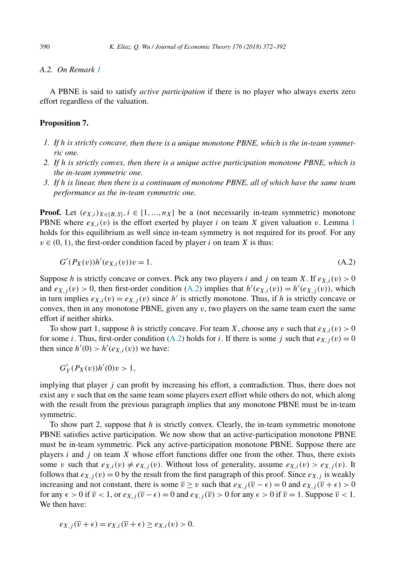# <span id="page-18-0"></span>*A.2. On Remark [1](#page-10-0)*

A PBNE is said to satisfy *active participation* if there is no player who always exerts zero effort regardless of the valuation.

#### **Proposition 7.**

- *1. If h is strictly concave, then there is a unique monotone PBNE, which is the in-team symmetric one.*
- *2. If h is strictly convex, then there is a unique active participation monotone PBNE, which is the in-team symmetric one.*
- 3. If h is linear, then there is a continuum of monotone PBNE, all of which have the same team *performance as the in-team symmetric one.*

**Proof.** Let  $(e_{X,i})_{X \in \{B,S\}}, i \in \{1, ..., n_X\}$  be a (not necessarily in-team symmetric) monotone PBNE where  $e_{X_i}(v)$  is the effort exerted by player *i* on team *X* given valuation *v*. Lemma [1](#page-6-0) holds for this equilibrium as well since in-team symmetry is not required for its proof. For any  $v \in (0, 1)$ , the first-order condition faced by player *i* on team *X* is thus:

$$
G'(P_X(v))h'(e_{X,i}(v))v = 1.
$$
\n(A.2)

Suppose *h* is strictly concave or convex. Pick any two players *i* and *j* on team *X*. If  $e_{X,i}(v) > 0$ and  $e_{X,j}(v) > 0$ , then first-order condition (A.2) implies that  $h'(e_{X,i}(v)) = h'(e_{X,j}(v))$ , which in turn implies  $e_{X,i}(v) = e_{X,i}(v)$  since *h*' is strictly monotone. Thus, if *h* is strictly concave or convex, then in any monotone PBNE, given any  $v$ , two players on the same team exert the same effort if neither shirks.

To show part 1, suppose *h* is strictly concave. For team *X*, choose any *v* such that  $e_{X,i}(v) > 0$ for some *i*. Thus, first-order condition (A.2) holds for *i*. If there is some *j* such that  $e_{X,j}(v) = 0$ then since  $h'(0) > h'(e_{X,i}(v))$  we have:

$$
G_Y'(P_X(v))h'(0)v>1,
$$

implying that player *j* can profit by increasing his effort, a contradiction. Thus, there does not exist any *v* such that on the same team some players exert effort while others do not, which along with the result from the previous paragraph implies that any monotone PBNE must be in-team symmetric.

To show part 2, suppose that *h* is strictly convex. Clearly, the in-team symmetric monotone PBNE satisfies active participation. We now show that an active-participation monotone PBNE must be in-team symmetric. Pick any active-participation monotone PBNE. Suppose there are players *i* and *j* on team *X* whose effort functions differ one from the other. Thus, there exists some *v* such that  $e_{X,i}(v) \neq e_{X,j}(v)$ . Without loss of generality, assume  $e_{X,i}(v) > e_{X,j}(v)$ . It follows that  $e_{X,j}(v) = 0$  by the result from the first paragraph of this proof. Since  $e_{X,j}$  is weakly increasing and not constant, there is some  $\overline{v} \ge v$  such that  $e_{X,j}(\overline{v} - \epsilon) = 0$  and  $e_{X,j}(\overline{v} + \epsilon) > 0$ for any  $\epsilon > 0$  if  $\overline{v} < 1$ , or  $e_{X,j}(\overline{v} - \epsilon) = 0$  and  $e_{X,j}(\overline{v}) > 0$  for any  $\epsilon > 0$  if  $\overline{v} = 1$ . Suppose  $\overline{v} < 1$ . We then have:

$$
e_{X,j}(\overline{v}+\epsilon) = e_{X,i}(\overline{v}+\epsilon) \ge e_{X,i}(v) > 0.
$$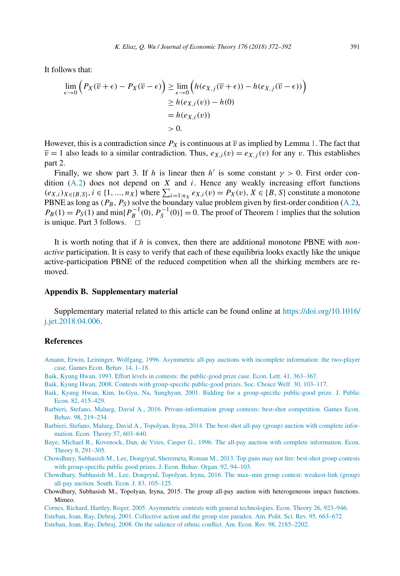<span id="page-19-0"></span>It follows that:

$$
\lim_{\epsilon \to 0} \left( P_X(\overline{v} + \epsilon) - P_X(\overline{v} - \epsilon) \right) \ge \lim_{\epsilon \to 0} \left( h(e_{X,j}(\overline{v} + \epsilon)) - h(e_{X,j}(\overline{v} - \epsilon)) \right)
$$
  
\n
$$
\ge h(e_{X,i}(v)) - h(0)
$$
  
\n
$$
= h(e_{X,i}(v))
$$
  
\n
$$
> 0.
$$

However, this is a contradiction since  $P_X$  is continuous at  $\overline{v}$  as implied by Lemma [1.](#page-6-0) The fact that  $\overline{v}$  = 1 also leads to a similar contradiction. Thus,  $e_{X_i}(v) = e_{X_i}(v)$  for any *v*. This establishes part 2.

Finally, we show part 3. If *h* is linear then *h'* is some constant  $\gamma > 0$ . First order condition [\(A.2\)](#page-18-0) does not depend on *X* and *i*. Hence any weakly increasing effort functions  $(e_{X,i})_{X \in \{B,S\}}$ *, i* ∈ {1*, ..., n<sub>X</sub>*} where  $\sum_{i=1:n_X} e_{X,i}(v) = P_X(v)$ *, X* ∈ {*B, S*} constitute a monotone PBNE as long as  $(P_B, P_S)$  solve the boundary value problem given by first-order condition [\(A.2\)](#page-18-0),  $P_B(1) = P_S(1)$  $P_B(1) = P_S(1)$  $P_B(1) = P_S(1)$  and  $\min\{P_B^{-1}(0), P_S^{-1}(0)\} = 0$ . The proof of Theorem 1 implies that the solution is unique. Part 3 follows.  $\Box$ 

It is worth noting that if *h* is convex, then there are additional monotone PBNE with *nonactive* participation. It is easy to verify that each of these equilibria looks exactly like the unique active-participation PBNE of the reduced competition when all the shirking members are removed.

#### **Appendix B. Supplementary material**

Supplementary material related to this article can be found online at [https://doi.org/10.1016/](https://doi.org/10.1016/j.jet.2018.04.006) [j.jet.2018.04.006.](https://doi.org/10.1016/j.jet.2018.04.006)

## **References**

- Amann, Erwin, Leininger, Wolfgang, 1996. Asymmetric all-pay auctions with incomplete [information:](http://refhub.elsevier.com/S0022-0531(18)30102-9/bib616C3936s1) the two-player case. Games Econ. [Behav. 14,](http://refhub.elsevier.com/S0022-0531(18)30102-9/bib616C3936s1) 1–18.
- Baik, Kyung Hwan, 1993. Effort levels in contests: the [public-good](http://refhub.elsevier.com/S0022-0531(18)30102-9/bib623933s1) prize case. Econ. Lett. 41, 363–367.
- Baik, Kyung Hwan, 2008. Contests with [group-specific](http://refhub.elsevier.com/S0022-0531(18)30102-9/bib623038s1) public-good prizes. Soc. Choice Welf. 30, 103–117.
- Baik, Kyung Hwan, Kim, In-Gyu, Na, Sunghyun, 2001. Bidding for a [group-specific](http://refhub.elsevier.com/S0022-0531(18)30102-9/bib623031s1) public-good prize. J. Public [Econ. 82,](http://refhub.elsevier.com/S0022-0531(18)30102-9/bib623031s1) 415–429.
- Barbieri, Stefano, Malueg, David A., 2016. [Private-information](http://refhub.elsevier.com/S0022-0531(18)30102-9/bib626D3135s1) group contests: best-shot competition. Games Econ. [Behav. 98,](http://refhub.elsevier.com/S0022-0531(18)30102-9/bib626D3135s1) 219–234.
- Barbieri, Stefano, Malueg, David A., [Topolyan,](http://refhub.elsevier.com/S0022-0531(18)30102-9/bib626D743133s1) Iryna, 2014. The best-shot all-pay (group) auction with complete information. Econ. [Theory 57,](http://refhub.elsevier.com/S0022-0531(18)30102-9/bib626D743133s1) 603–640.
- Baye, Michael R., Kovenock, Dan, de Vries, Casper G., 1996. The all-pay auction with complete [information.](http://refhub.elsevier.com/S0022-0531(18)30102-9/bib626B763936s1) Econ. [Theory 8,](http://refhub.elsevier.com/S0022-0531(18)30102-9/bib626B763936s1) 291–305.

[Chowdhury,](http://refhub.elsevier.com/S0022-0531(18)30102-9/bib636C73s1) Subhasish M., Lee, Dongryul, Sheremeta, Roman M., 2013. Top guns may not fire: best-shot group contests with [group-specific](http://refhub.elsevier.com/S0022-0531(18)30102-9/bib636C73s1) public good prizes. J. Econ. Behav. Organ. 92, 94–103.

- Chowdhury, Subhasish M., Lee, Dongryul, Topolyan, Iryna, 2016. The max–min group contest: [weakest-link](http://refhub.elsevier.com/S0022-0531(18)30102-9/bib636C743136s1) (group) all-pay auction. South. Econ. J. 83, [105–125.](http://refhub.elsevier.com/S0022-0531(18)30102-9/bib636C743136s1)
- Chowdhury, Subhasish M., Topolyan, Iryna, 2015. The group all-pay auction with heterogeneous impact functions. Mimeo.
- Cornes, Richard, Hartley, Roger, 2005. Asymmetric contests with general [technologies.](http://refhub.elsevier.com/S0022-0531(18)30102-9/bib63683035s1) Econ. Theory 26, 923–946.

Esteban, Joan, Ray, Debraj, 2001. [Collective](http://refhub.elsevier.com/S0022-0531(18)30102-9/bib65723031s1) action and the group size paradox. Am. Polit. Sci. Rev. 95, 663–672.

Esteban, Joan, Ray, Debraj, 2008. On the salience of ethnic conflict. Am. Econ. Rev. 98, [2185–2202.](http://refhub.elsevier.com/S0022-0531(18)30102-9/bib65723038s1)